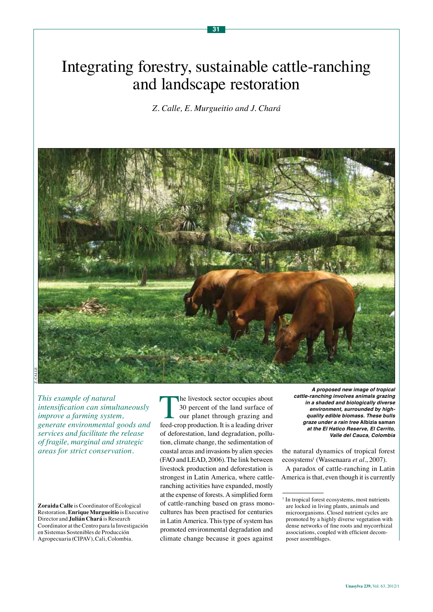# Integrating forestry, sustainable cattle-ranching and landscape restoration

**31**

*Z. Calle, E. Murgueitio and J. Chará*



*This example of natural intensification can simultaneously improve a farming system, generate environmental goods and services and facilitate the release of fragile, marginal and strategic areas for strict conservation.* 

**Zoraida Calle** is Coordinator of Ecological Restoration, **Enrique Murgueitio** is Executive Director and **Julián Chará** is Research Coordinator at the Centro para la Investigación en Sistemas Sostenibles de Producción Agropecuaria (CIPAV), Cali, Colombia.

The livestock sector occupies about<br>30 percent of the land surface of<br>our planet through grazing and<br>feed-crop production. It is a leading driver 30 percent of the land surface of our planet through grazing and feed-crop production. It is a leading driver of deforestation, land degradation, pollution, climate change, the sedimentation of coastal areas and invasions by alien species (FAO and LEAD, 2006). The link between livestock production and deforestation is strongest in Latin America, where cattleranching activities have expanded, mostly at the expense of forests. A simplified form of cattle-ranching based on grass monocultures has been practised for centuries in Latin America. This type of system has promoted environmental degradation and climate change because it goes against

**A proposed new image of tropical cattle-ranching involves animals grazing in a shaded and biologically diverse environment, surrounded by highquality edible biomass. These bulls graze under a rain tree Albizia saman at the El Hatico Reserve, El Cerrito, Valle del Cauca, Colombia**

the natural dynamics of tropical forest ecosystems<sup>1</sup> (Wassenaara et al., 2007). A paradox of cattle-ranching in Latin America is that, even though it is currently

<sup>&</sup>lt;sup>1</sup> In tropical forest ecosystems, most nutrients are locked in living plants, animals and microorganisms. Closed nutrient cycles are promoted by a highly diverse vegetation with dense networks of fine roots and mycorrhizal associations, coupled with efficient decomposer assemblages.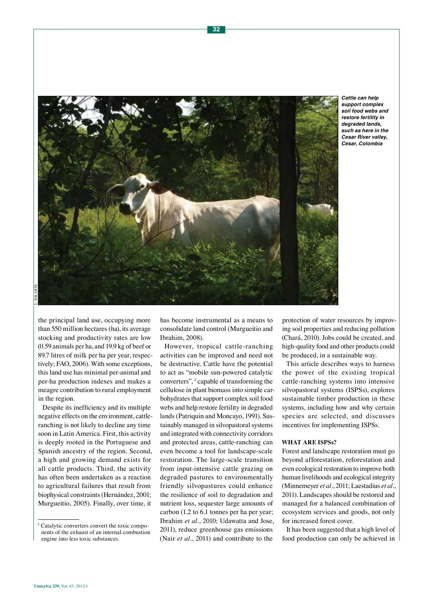

**Cattle can help support complex soil food webs and restore fertility in degraded lands, such as here in the Cesar River valley, Cesar, Colombia**

the principal land use, occupying more than 550 million hectares (ha), its average stocking and productivity rates are low (0.59 animals per ha, and 19.9 kg of beef or 89.7 litres of milk per ha per year, respectively; FAO, 2006). With some exceptions, this land use has minimal per-animal and per-ha production indexes and makes a meagre contribution to rural employment in the region.

Despite its inefficiency and its multiple negative effects on the environment, cattleranching is not likely to decline any time soon in Latin America. First, this activity is deeply rooted in the Portuguese and Spanish ancestry of the region. Second, a high and growing demand exists for all cattle products. Third, the activity has often been undertaken as a reaction to agricultural failures that result from biophysical constraints (Hernández, 2001; Murgueitio, 2005). Finally, over time, it

has become instrumental as a means to consolidate land control (Murgueitio and Ibrahim, 2008).

However, tropical cattle-ranching activities can be improved and need not be destructive. Cattle have the potential to act as "mobile sun-powered catalytic converters", <sup>2</sup> capable of transforming the cellulose in plant biomass into simple carbohydrates that support complex soil food webs and help restore fertility in degraded lands (Patriquin and Moncayo, 1991). Sustainably managed in silvopastoral systems and integrated with connectivity corridors and protected areas, cattle-ranching can even become a tool for landscape-scale restoration. The large-scale transition from input-intensive cattle grazing on degraded pastures to environmentally friendly silvopastures could enhance the resilience of soil to degradation and nutrient loss, sequester large amounts of carbon (1.2 to 6.1 tonnes per ha per year; Ibrahim *et al.*, 2010; Udawatta and Jose, 2011), reduce greenhouse gas emissions (Nair *et al.*, 2011) and contribute to the

protection of water resources by improving soil properties and reducing pollution (Chará, 2010). Jobs could be created, and high-quality food and other products could be produced, in a sustainable way.

This article describes ways to harness the power of the existing tropical cattle-ranching systems into intensive silvopastoral systems (ISPSs), explores sustainable timber production in these systems, including how and why certain species are selected, and discusses incentives for implementing ISPSs.

#### **What are ISPSs?**

Forest and landscape restoration must go beyond afforestation, reforestation and even ecological restoration to improve both human livelihoods and ecological integrity (Minnemeyer *et al.*, 2011; Laestadius *et al.*, 2011). Landscapes should be restored and managed for a balanced combination of ecosystem services and goods, not only for increased forest cover.

It has been suggested that a high level of food production can only be achieved in

<sup>2</sup> Catalytic converters convert the toxic components of the exhaust of an internal combustion engine into less toxic substances.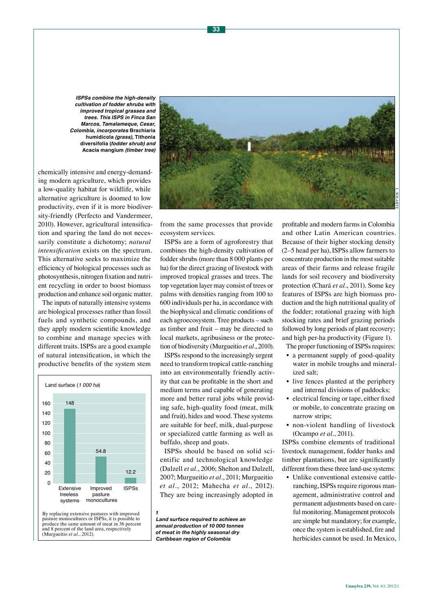**ISPSs combine the high-density cultivation of fodder shrubs with improved tropical grasses and trees. This ISPS in Finca San Marcos, Tamalameque, Cesar, Colombia, incorporates Brachiaria humidicola (grass), Tithonia diversifolia (fodder shrub) and Acacia mangium (timber tree)**

chemically intensive and energy-demanding modern agriculture, which provides a low-quality habitat for wildlife, while alternative agriculture is doomed to low productivity, even if it is more biodiversity-friendly (Perfecto and Vandermeer, 2010). However, agricultural intensification and sparing the land do not necessarily constitute a dichotomy; *natural intensification* exists on the spectrum. This alternative seeks to maximize the efficiency of biological processes such as photosynthesis, nitrogen fixation and nutrient recycling in order to boost biomass production and enhance soil organic matter.

The inputs of naturally intensive systems are biological processes rather than fossil fuels and synthetic compounds, and they apply modern scientific knowledge to combine and manage species with different traits. ISPSs are a good example of natural intensification, in which the productive benefits of the system stem



By replacing extensive pastures with improved pasture monocultures or ISPSs, it is possible to produce the same amount of meat in 36 percent and 8 percent of the land area, respectively (Murgueitio *et al.*, 2012).



from the same processes that provide ecosystem services.

ISPSs are a form of agroforestry that combines the high-density cultivation of fodder shrubs (more than 8 000 plants per ha) for the direct grazing of livestock with improved tropical grasses and trees. The top vegetation layer may consist of trees or palms with densities ranging from 100 to 600 individuals per ha, in accordance with the biophysical and climatic conditions of each agroecosystem. Tree products – such as timber and fruit – may be directed to local markets, agribusiness or the protection of biodiversity (Murgueitio *et al.*, 2010).

ISPSs respond to the increasingly urgent need to transform tropical cattle-ranching into an environmentally friendly activity that can be profitable in the short and medium terms and capable of generating more and better rural jobs while providing safe, high-quality food (meat, milk and fruit), hides and wood. These systems are suitable for beef, milk, dual-purpose or specialized cattle farming as well as buffalo, sheep and goats.

ISPSs should be based on solid scientific and technological knowledge (Dalzell *et al.*, 2006; Shelton and Dalzell, 2007; Murgueitio *et al.*, 2011; Murgueitio *et al.*, 2012; Mahecha *et al.*, 2012). They are being increasingly adopted in

*1*

*Land surface required to achieve an annual production of 10 000 tonnes of meat in the highly seasonal dry Caribbean region of Colombia*

Framms in Colombia<br>
Framms in Colombia<br>
Framms in Colombia<br>
Framms to the most suitable<br>
nd release fragile<br>
7 and biodiversity<br>
1, 2011). Some key<br>
1, 2011). Some key<br>
high biomass pro-<br>
tritional quality of<br>
grazing with profitable and modern farms in Colombia and other Latin American countries. Because of their higher stocking density (2–5 head per ha), ISPSs allow farmers to concentrate production in the most suitable areas of their farms and release fragile lands for soil recovery and biodiversity protection (Chará *et al.*, 2011). Some key features of ISPSs are high biomass production and the high nutritional quality of the fodder; rotational grazing with high stocking rates and brief grazing periods followed by long periods of plant recovery; and high per-ha productivity (Figure 1).

The proper functioning of ISPSs requires:

- a permanent supply of good-quality water in mobile troughs and mineralized salt;
- live fences planted at the periphery and internal divisions of paddocks;
- electrical fencing or tape, either fixed or mobile, to concentrate grazing on narrow strips;
- non-violent handling of livestock (Ocampo *et al.*, 2011).

ISPSs combine elements of traditional livestock management, fodder banks and timber plantations, but are significantly different from these three land-use systems:

• Unlike conventional extensive cattleranching, ISPSs require rigorous management, administrative control and permanent adjustments based on careful monitoring. Management protocols are simple but mandatory; for example, once the system is established, fire and herbicides cannot be used. In Mexico,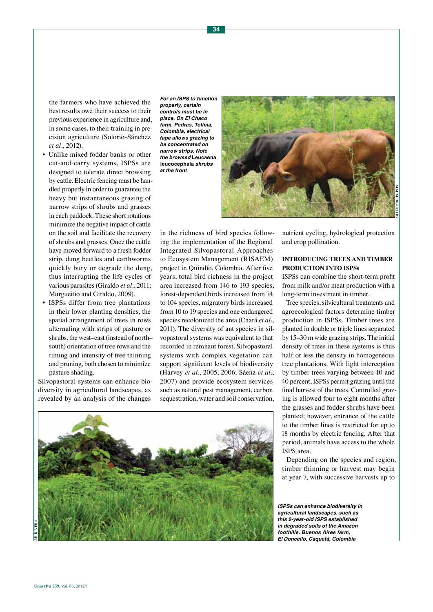the farmers who have achieved the best results owe their success to their previous experience in agriculture and, in some cases, to their training in precision agriculture (Solorio-Sánchez *et al.*, 2012).

- Unlike mixed fodder banks or other cut-and-carry systems, ISPSs are designed to tolerate direct browsing by cattle. Electric fencing must be handled properly in order to guarantee the heavy but instantaneous grazing of narrow strips of shrubs and grasses in each paddock. These short rotations minimize the negative impact of cattle on the soil and facilitate the recovery of shrubs and grasses. Once the cattle have moved forward to a fresh fodder strip, dung beetles and earthworms quickly bury or degrade the dung, thus interrupting the life cycles of various parasites (Giraldo *et al.*, 2011; Murgueitio and Giraldo, 2009).
- ISPSs differ from tree plantations in their lower planting densities, the spatial arrangement of trees in rows alternating with strips of pasture or shrubs, the west–east (instead of north– south) orientation of tree rows and the timing and intensity of tree thinning and pruning, both chosen to minimize pasture shading.

Silvopastoral systems can enhance biodiversity in agricultural landscapes, as revealed by an analysis of the changes

**For an ISPS to function properly, certain controls must be in place. On El Chaco farm, Pedras, Tolima, Colombia, electrical tape allows grazing to be concentrated on narrow strips. Note the browsed Leucaena leucocephala shrubs at the front** 



in the richness of bird species following the implementation of the Regional Integrated Silvopastoral Approaches to Ecosystem Management (RISAEM) project in Quindío, Colombia. After five years, total bird richness in the project area increased from 146 to 193 species, forest-dependent birds increased from 74 to 104 species, migratory birds increased from 10 to 19 species and one endangered species recolonized the area (Chará *et al.*, 2011). The diversity of ant species in silvopastoral systems was equivalent to that recorded in remnant forest. Silvopastoral systems with complex vegetation can support significant levels of biodiversity (Harvey *et al.*, 2005, 2006; Sáenz *et al.*, 2007) and provide ecosystem services such as natural pest management, carbon sequestration, water and soil conservation,



nutrient cycling, hydrological protection and crop pollination.

## **Introducing trees and timber production into ISPSs**

ISPSs can combine the short-term profit from milk and/or meat production with a long-term investment in timber.

Tree species, silvicultural treatments and agroecological factors determine timber production in ISPSs. Timber trees are planted in double or triple lines separated by 15–30 m wide grazing strips. The initial density of trees in these systems is thus half or less the density in homogeneous tree plantations. With light interception by timber trees varying between 10 and 40 percent, ISPSs permit grazing until the final harvest of the trees. Controlled grazing is allowed four to eight months after the grasses and fodder shrubs have been planted; however, entrance of the cattle to the timber lines is restricted for up to 18 months by electric fencing. After that period, animals have access to the whole ISPS area.

Depending on the species and region, timber thinning or harvest may begin at year 7, with successive harvests up to

**ISPSs can enhance biodiversity in agricultural landscapes, such as this 2-year-old ISPS established in degraded soils of the Amazon foothills. Buenos Aires farm, El Doncello, Caquetá, Colombia**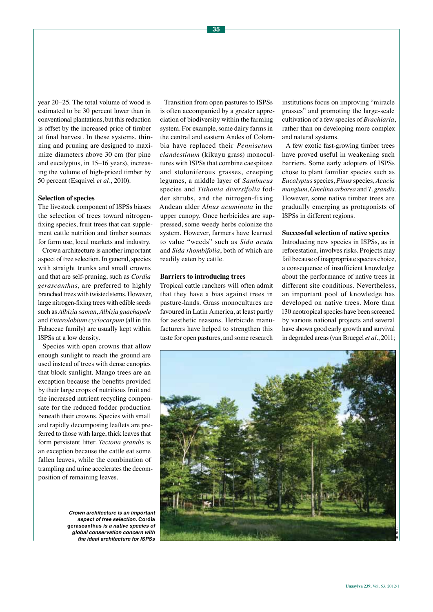year 20–25. The total volume of wood is estimated to be 30 percent lower than in conventional plantations, but this reduction is offset by the increased price of timber at final harvest. In these systems, thinning and pruning are designed to maximize diameters above 30 cm (for pine and eucalyptus, in 15–16 years), increasing the volume of high-priced timber by 50 percent (Esquivel *et al.*, 2010).

#### **Selection of species**

The livestock component of ISPSs biases the selection of trees toward nitrogenfixing species, fruit trees that can supplement cattle nutrition and timber sources for farm use, local markets and industry.

Crown architecture is another important aspect of tree selection. In general, species with straight trunks and small crowns and that are self-pruning, such as *Cordia gerascanthus*, are preferred to highly branched trees with twisted stems. However, large nitrogen-fixing trees with edible seeds such as *Albizia saman*, *Albizia guachapele* and *Enterolobium cyclocarpum* (all in the Fabaceae family) are usually kept within ISPSs at a low density.

Species with open crowns that allow enough sunlight to reach the ground are used instead of trees with dense canopies that block sunlight. Mango trees are an exception because the benefits provided by their large crops of nutritious fruit and the increased nutrient recycling compensate for the reduced fodder production beneath their crowns. Species with small and rapidly decomposing leaflets are preferred to those with large, thick leaves that form persistent litter. *Tectona grandis* is an exception because the cattle eat some fallen leaves, while the combination of trampling and urine accelerates the decomposition of remaining leaves.

**Crown architecture is an important aspect of tree selection. Cordia gerascanthus is a native species of global conservation concern with the ideal architecture for ISPSs**

Transition from open pastures to ISPSs is often accompanied by a greater appreciation of biodiversity within the farming system. For example, some dairy farms in the central and eastern Andes of Colombia have replaced their *Pennisetum clandestinum* (kikuyu grass) monocultures with ISPSs that combine caespitose and stoloniferous grasses, creeping legumes, a middle layer of *Sambucus* species and *Tithonia diversifolia* fodder shrubs, and the nitrogen-fixing Andean alder *Alnus acuminata* in the upper canopy. Once herbicides are suppressed, some weedy herbs colonize the system. However, farmers have learned to value "weeds" such as *Sida acuta* and *Sida rhombifolia*, both of which are readily eaten by cattle.

#### **Barriers to introducing trees**

Tropical cattle ranchers will often admit that they have a bias against trees in pasture-lands. Grass monocultures are favoured in Latin America, at least partly for aesthetic reasons. Herbicide manufacturers have helped to strengthen this taste for open pastures, and some research

institutions focus on improving "miracle grasses" and promoting the large-scale cultivation of a few species of *Brachiaria*, rather than on developing more complex and natural systems.

A few exotic fast-growing timber trees have proved useful in weakening such barriers. Some early adopters of ISPSs chose to plant familiar species such as *Eucalyptus* species, *Pinus* species, *Acacia mangium*, *Gmelina arborea* and *T. grandis*. However, some native timber trees are gradually emerging as protagonists of ISPSs in different regions.

#### **Successful selection of native species**

Introducing new species in ISPSs, as in reforestation, involves risks. Projects may fail because of inappropriate species choice, a consequence of insufficient knowledge about the performance of native trees in different site conditions. Nevertheless, an important pool of knowledge has developed on native trees. More than 130 neotropical species have been screened by various national projects and several have shown good early growth and survival in degraded areas (van Bruegel *et al.*, 2011;

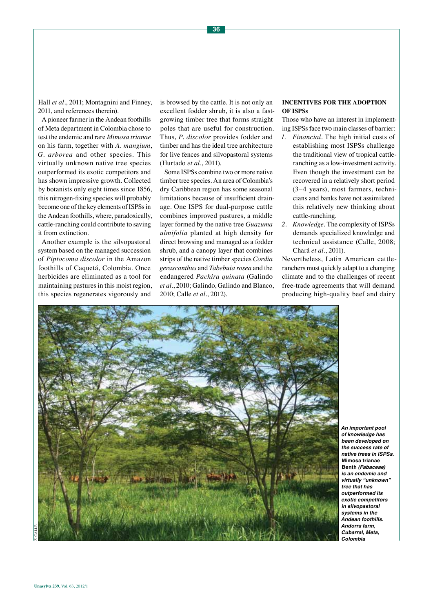Hall *et al.*, 2011; Montagnini and Finney, 2011, and references therein).

A pioneer farmer in the Andean foothills of Meta department in Colombia chose to test the endemic and rare *Mimosa trianae*  on his farm, together with *A. mangium*, *G. arborea* and other species. This virtually unknown native tree species outperformed its exotic competitors and has shown impressive growth. Collected by botanists only eight times since 1856, this nitrogen-fixing species will probably become one of the key elements of ISPSs in the Andean foothills, where, paradoxically, cattle-ranching could contribute to saving it from extinction.

Another example is the silvopastoral system based on the managed succession of *Piptocoma discolor* in the Amazon foothills of Caquetá, Colombia. Once herbicides are eliminated as a tool for maintaining pastures in this moist region, this species regenerates vigorously and

is browsed by the cattle. It is not only an excellent fodder shrub, it is also a fastgrowing timber tree that forms straight poles that are useful for construction. Thus, *P. discolor* provides fodder and timber and has the ideal tree architecture for live fences and silvopastoral systems (Hurtado *et al.*, 2011).

Some ISPSs combine two or more native timber tree species. An area of Colombia's dry Caribbean region has some seasonal limitations because of insufficient drainage. One ISPS for dual-purpose cattle combines improved pastures, a middle layer formed by the native tree *Guazuma ulmifolia* planted at high density for direct browsing and managed as a fodder shrub, and a canopy layer that combines strips of the native timber species *Cordia gerascanthus* and *Tabebuia rosea* and the endangered *Pachira quinata* (Galindo *et al.*, 2010; Galindo, Galindo and Blanco, 2010; Calle *et al.*, 2012).

## **Incentives for the adoption of ISPSs**

Those who have an interest in implementing ISPSs face two main classes of barrier:

- *1. Financial.* The high initial costs of establishing most ISPSs challenge the traditional view of tropical cattleranching as a low-investment activity. Even though the investment can be recovered in a relatively short period (3–4 years), most farmers, technicians and banks have not assimilated this relatively new thinking about cattle-ranching.
- *2. Knowledge.* The complexity of ISPSs demands specialized knowledge and technical assistance (Calle, 2008; Chará *et al.*, 2011).

Nevertheless, Latin American cattleranchers must quickly adapt to a changing climate and to the challenges of recent free-trade agreements that will demand producing high-quality beef and dairy



**An important pool of knowledge has been developed on the success rate of native trees in ISPSs. Mimosa trianae Benth (Fabaceae) is an endemic and virtually "unknown" tree that has outperformed its exotic competitors in silvopastoral systems in the Andean foothills. Andorra farm, Cubarral, Meta, Colombia**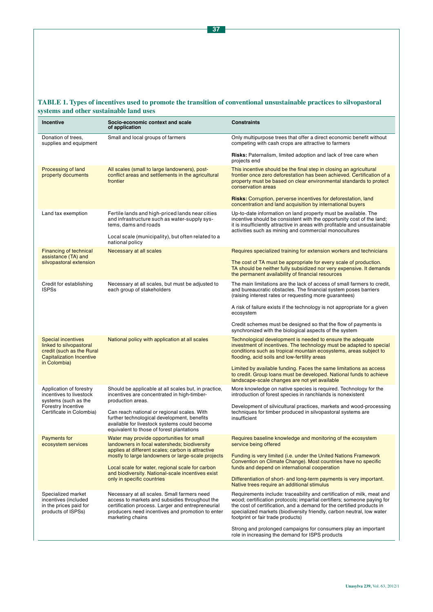# **TABLE 1. Types of incentives used to promote the transition of conventional unsustainable practices to silvopastoral systems and other sustainable land uses**

| <b>Incentive</b>                                                                                                                     | Socio-economic context and scale<br>of application                                                                                                                                                                                                                                                                                          | <b>Constraints</b>                                                                                                                                                                                                                                                                                                                       |
|--------------------------------------------------------------------------------------------------------------------------------------|---------------------------------------------------------------------------------------------------------------------------------------------------------------------------------------------------------------------------------------------------------------------------------------------------------------------------------------------|------------------------------------------------------------------------------------------------------------------------------------------------------------------------------------------------------------------------------------------------------------------------------------------------------------------------------------------|
| Donation of trees.<br>supplies and equipment                                                                                         | Small and local groups of farmers                                                                                                                                                                                                                                                                                                           | Only multipurpose trees that offer a direct economic benefit without<br>competing with cash crops are attractive to farmers                                                                                                                                                                                                              |
|                                                                                                                                      |                                                                                                                                                                                                                                                                                                                                             | <b>Risks:</b> Paternalism, limited adoption and lack of tree care when<br>projects end                                                                                                                                                                                                                                                   |
| Processing of land<br>property documents                                                                                             | All scales (small to large landowners), post-<br>conflict areas and settlements in the agricultural<br>frontier                                                                                                                                                                                                                             | This incentive should be the final step in closing an agricultural<br>frontier once zero deforestation has been achieved. Certification of a<br>property must be based on clear environmental standards to protect<br>conservation areas                                                                                                 |
|                                                                                                                                      |                                                                                                                                                                                                                                                                                                                                             | <b>Risks:</b> Corruption, perverse incentives for deforestation, land<br>concentration and land acquisition by international buyers                                                                                                                                                                                                      |
| Land tax exemption                                                                                                                   | Fertile lands and high-priced lands near cities<br>and infrastructure such as water-supply sys-<br>tems, dams and roads                                                                                                                                                                                                                     | Up-to-date information on land property must be available. The<br>incentive should be consistent with the opportunity cost of the land;<br>it is insufficiently attractive in areas with profitable and unsustainable<br>activities such as mining and commercial monocultures                                                           |
|                                                                                                                                      | Local scale (municipality), but often related to a<br>national policy                                                                                                                                                                                                                                                                       |                                                                                                                                                                                                                                                                                                                                          |
| <b>Financing of technical</b><br>assistance (TA) and<br>silvopastoral extension                                                      | Necessary at all scales                                                                                                                                                                                                                                                                                                                     | Requires specialized training for extension workers and technicians                                                                                                                                                                                                                                                                      |
|                                                                                                                                      |                                                                                                                                                                                                                                                                                                                                             | The cost of TA must be appropriate for every scale of production.<br>TA should be neither fully subsidized nor very expensive. It demands<br>the permanent availability of financial resources                                                                                                                                           |
| Credit for establishing<br><b>ISPSs</b>                                                                                              | Necessary at all scales, but must be adjusted to<br>each group of stakeholders                                                                                                                                                                                                                                                              | The main limitations are the lack of access of small farmers to credit,<br>and bureaucratic obstacles. The financial system poses barriers<br>(raising interest rates or requesting more guarantees)                                                                                                                                     |
|                                                                                                                                      |                                                                                                                                                                                                                                                                                                                                             | A risk of failure exists if the technology is not appropriate for a given<br>ecosystem                                                                                                                                                                                                                                                   |
|                                                                                                                                      |                                                                                                                                                                                                                                                                                                                                             | Credit schemes must be designed so that the flow of payments is<br>synchronized with the biological aspects of the system                                                                                                                                                                                                                |
| <b>Special incentives</b><br>linked to silvopastoral<br>credit (such as the Rural<br><b>Capitalization Incentive</b><br>in Colombia) | National policy with application at all scales                                                                                                                                                                                                                                                                                              | Technological development is needed to ensure the adequate<br>investment of incentives. The technology must be adapted to special<br>conditions such as tropical mountain ecosystems, areas subject to<br>flooding, acid soils and low-fertility areas                                                                                   |
|                                                                                                                                      |                                                                                                                                                                                                                                                                                                                                             | Limited by available funding. Faces the same limitations as access<br>to credit. Group loans must be developed. National funds to achieve<br>landscape-scale changes are not yet available                                                                                                                                               |
| Application of forestry<br>incentives to livestock<br>systems (such as the<br>Forestry Incentive<br>Certificate in Colombia)         | Should be applicable at all scales but, in practice,<br>incentives are concentrated in high-timber-<br>production areas.<br>Can reach national or regional scales. With<br>further technological development, benefits<br>available for livestock systems could become<br>equivalent to those of forest plantations                         | More knowledge on native species is required. Technology for the<br>introduction of forest species in ranchlands is nonexistent                                                                                                                                                                                                          |
|                                                                                                                                      |                                                                                                                                                                                                                                                                                                                                             | Development of silvicultural practices, markets and wood-processing<br>techniques for timber produced in silvopastoral systems are<br>insufficient                                                                                                                                                                                       |
| <b>Payments for</b><br>ecosystem services                                                                                            | Water may provide opportunities for small<br>landowners in focal watersheds; biodiversity<br>applies at different scales; carbon is attractive<br>mostly to large landowners or large-scale projects<br>Local scale for water, regional scale for carbon<br>and biodiversity. National-scale incentives exist<br>only in specific countries | Requires baseline knowledge and monitoring of the ecosystem<br>service being offered                                                                                                                                                                                                                                                     |
|                                                                                                                                      |                                                                                                                                                                                                                                                                                                                                             | Funding is very limited (i.e. under the United Nations Framework<br>Convention on Climate Change). Most countries have no specific<br>funds and depend on international cooperation                                                                                                                                                      |
|                                                                                                                                      |                                                                                                                                                                                                                                                                                                                                             | Differentiation of short- and long-term payments is very important.<br>Native trees require an additional stimulus                                                                                                                                                                                                                       |
| Specialized market<br>incentives (included<br>in the prices paid for<br>products of ISPSs)                                           | Necessary at all scales. Small farmers need<br>access to markets and subsidies throughout the<br>certification process. Larger and entrepreneurial<br>producers need incentives and promotion to enter<br>marketing chains                                                                                                                  | Requirements include: traceability and certification of milk, meat and<br>wood; certification protocols; impartial certifiers; someone paying for<br>the cost of certification, and a demand for the certified products in<br>specialized markets (biodiversity friendly, carbon neutral, low water<br>footprint or fair trade products) |
|                                                                                                                                      |                                                                                                                                                                                                                                                                                                                                             | Strong and prolonged campaigns for consumers play an important<br>role in increasing the demand for ISPS products                                                                                                                                                                                                                        |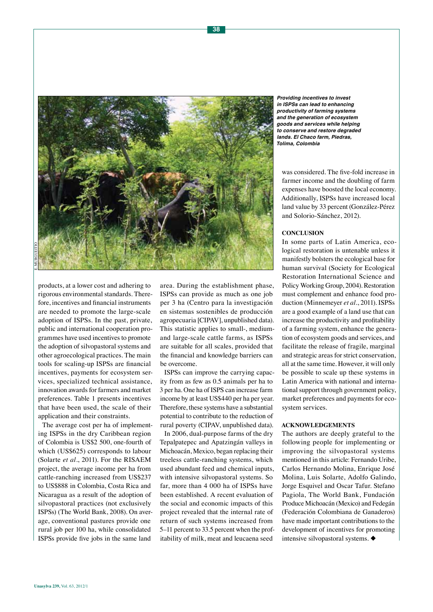

products, at a lower cost and adhering to rigorous environmental standards. Therefore, incentives and financial instruments are needed to promote the large-scale adoption of ISPSs. In the past, private, public and international cooperation programmes have used incentives to promote the adoption of silvopastoral systems and other agroecological practices. The main tools for scaling-up ISPSs are financial incentives, payments for ecosystem services, specialized technical assistance, innovation awards for farmers and market preferences. Table 1 presents incentives that have been used, the scale of their application and their constraints.

The average cost per ha of implementing ISPSs in the dry Caribbean region of Colombia is US\$2 500, one-fourth of which (US\$625) corresponds to labour (Solarte *et al.*, 2011). For the RISAEM project, the average income per ha from cattle-ranching increased from US\$237 to US\$888 in Colombia, Costa Rica and Nicaragua as a result of the adoption of silvopastoral practices (not exclusively ISPSs) (The World Bank, 2008). On average, conventional pastures provide one rural job per 100 ha, while consolidated ISPSs provide five jobs in the same land

area. During the establishment phase, ISPSs can provide as much as one job per 3 ha (Centro para la investigación en sistemas sostenibles de producción agropecuaria [CIPAV], unpublished data). This statistic applies to small-, mediumand large-scale cattle farms, as ISPSs are suitable for all scales, provided that the financial and knowledge barriers can be overcome.

ISPSs can improve the carrying capacity from as few as 0.5 animals per ha to 3 per ha. One ha of ISPS can increase farm income by at least US\$440 per ha per year. Therefore, these systems have a substantial potential to contribute to the reduction of rural poverty (CIPAV, unpublished data).

In 2006, dual-purpose farms of the dry Tepalpatepec and Apatzingán valleys in Michoacán, Mexico, began replacing their treeless cattle-ranching systems, which used abundant feed and chemical inputs, with intensive silvopastoral systems. So far, more than 4 000 ha of ISPSs have been established. A recent evaluation of the social and economic impacts of this project revealed that the internal rate of return of such systems increased from 5–11 percent to 33.5 percent when the profitability of milk, meat and leucaena seed

**Providing incentives to invest in ISPSs can lead to enhancing productivity of farming systems and the generation of ecosystem goods and services while helping to conserve and restore degraded lands. El Chaco farm, Piedras, Tolima, Colombia**

was considered. The five-fold increase in farmer income and the doubling of farm expenses have boosted the local economy. Additionally, ISPSs have increased local land value by 33 percent (González-Pérez and Solorio-Sánchez, 2012).

### **Conclusion**

In some parts of Latin America, ecological restoration is untenable unless it manifestly bolsters the ecological base for human survival (Society for Ecological Restoration International Science and Policy Working Group, 2004). Restoration must complement and enhance food production (Minnemeyer *et al.*, 2011). ISPSs are a good example of a land use that can increase the productivity and profitability of a farming system, enhance the generation of ecosystem goods and services, and facilitate the release of fragile, marginal and strategic areas for strict conservation, all at the same time. However, it will only be possible to scale up these systems in Latin America with national and international support through government policy, market preferences and payments for ecosystem services.

## **Acknowledgements**

The authors are deeply grateful to the following people for implementing or improving the silvopastoral systems mentioned in this article: Fernando Uribe, Carlos Hernando Molina, Enrique José Molina, Luis Solarte, Adolfo Galindo, Jorge Esquivel and Oscar Tafur. Stefano Pagiola, The World Bank, Fundación Produce Michoacán (Mexico) and Fedegán (Federación Colombiana de Ganaderos) have made important contributions to the development of incentives for promoting intensive silvopastoral systems.  $\blacklozenge$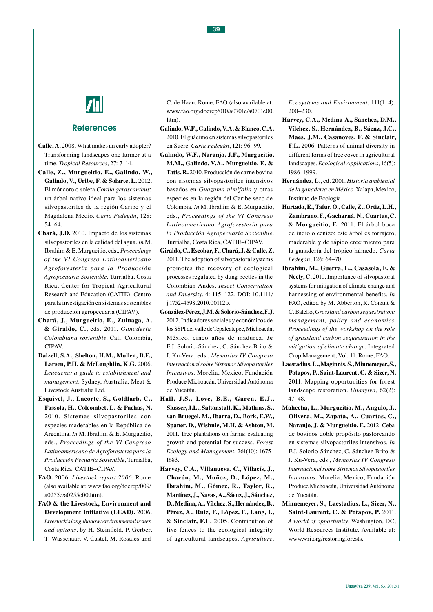

## References

- **Calle, A.** 2008. What makes an early adopter? Transforming landscapes one farmer at a time. *Tropical Resources*, 27: 7–14.
- **Calle, Z., Murgueitio, E., Galindo, W., Galindo, V., Uribe, F. & Solarte, L.** 2012. El móncoro o solera *Cordia gerascanthus*: un árbol nativo ideal para los sistemas silvopastoriles de la región Caribe y el Magdalena Medio. *Carta Fedegán*, 128: 54–64.
- **Chará, J.D.** 2010. Impacto de los sistemas silvopastoriles en la calidad del agua. *In* M. Ibrahim & E. Murgueitio, eds., *Proceedings of the VI Congreso Latinoamericano Agroforestería para la Producción Agropecuaria Sostenible*. Turrialba, Costa Rica, Center for Tropical Agricultural Research and Education (CATIE)–Centro para la investigación en sistemas sostenibles de producción agropecuaria (CIPAV).
- **Chará, J., Murgueitio, E., Zuluaga, A. & Giraldo, C.,** eds. 2011. *Ganadería Colombiana sostenible*. Cali, Colombia, CIPAV.
- **Dalzell, S.A., Shelton, H.M., Mullen, B.F., Larsen, P.H. & McLaughlin, K.G.** 2006. *Leucaena: a guide to establishment and management*. Sydney, Australia, Meat & Livestock Australia Ltd.
- **Esquivel, J., Lacorte, S., Goldfarb, C., Fassola, H., Colcombet, L. & Pachas, N.**  2010. Sistemas silvopastoriles con especies maderables en la República de Argentina. *In* M. Ibrahim & E. Murgueitio, eds., *Proceedings of the VI Congreso Latinoamericano de Agroforestería para la Producción Pecuaria Sostenible,* Turrialba, Costa Rica, CATIE–CIPAV.
- **FAO.** 2006. *Livestock report 2006*. Rome (also available at: [www.fao.org/docrep/009/](http://www.fao.org/docrep/009/a0255e/a0255e00.htm) [a0255e/a0255e00.htm\)](http://www.fao.org/docrep/009/a0255e/a0255e00.htm).
- **FAO & the Livestock, Environment and Development Initiative (LEAD).** 2006. *Livestock's long shadow: environmental issues and options*, by H. Steinfield, P. Gerber, T. Wassenaar, V. Castel, M. Rosales and

C. de Haan. Rome, FAO (also available at: [www.fao.org/docrep/010/a0701e/a0701e00.](http://www.fao.org/docrep/010/a0701e/a0701e00.htm) [htm\)](http://www.fao.org/docrep/010/a0701e/a0701e00.htm).

- **Galindo, W.F., Galindo, V.A. & Blanco, C.A.**  2010. El guácimo en sistemas silvopastoriles en Sucre. *Carta Fedegán*, 121: 96–99.
- **Galindo, W.F., Naranjo, J.F., Murgueitio, M.M., Galindo, V.A., Murgueitio, E. & Tatis, R.** 2010. Producción de carne bovina con sistemas silvopastoriles intensivos basados en *Guazuma ulmifolia* y otras especies en la región del Caribe seco de Colombia. *In* M. Ibrahim & E. Murgueitio, eds., *Proceedings of the VI Congreso Latinoamericano Agroforestería para la Producción Agropecuaria Sostenible*. Turrialba, Costa Rica, CATIE–CIPAV.
- **Giraldo, C., Escobar, F., Chará, J. & Calle, Z.**  2011. The adoption of silvopastoral systems promotes the recovery of ecological processes regulated by dung beetles in the Colombian Andes. *Insect Conservation and Diversity*, 4: 115–122. DOI: [10.1111/](http://dx.doi.org/10.1111/j.1752-4598.2010.00112.x) [j.1752-4598.2010.00112.x](http://dx.doi.org/10.1111/j.1752-4598.2010.00112.x).
- **González-Pérez, J.M. & Solorio-Sánchez, F.J.** 2012. Indicadores sociales y económicos de los SSPI del valle de Tepalcatepec, Michoacán, México, cinco años de madurez. *In* F.J. Solorio-Sánchez, C. Sánchez-Brito & J. Ku-Vera, eds., *Memorias IV Congreso Internacional sobre Sistemas Silvopastoriles Intensivos*. Morelia, Mexico, Fundación Produce Michoacán, Universidad Autónoma de Yucatán.
- **Hall, J.S., Love, B.E., Garen, E.J., Slusser, J.L., Saltonstall, K., Mathias, S., van Bruegel, M., Ibarra, D., Bork, E.W., Spaner, D., Wishnie, M.H. & Ashton, M.**  2011. Tree plantations on farms: evaluating growth and potential for success. *Forest Ecology and Management*, 261(10): 1675– 1683.
- **Harvey, C.A., Villanueva, C., Villacís, J., Chacón, M., Muñoz, D., López, M., Ibrahim, M., Gómez, R., Taylor, R., Martínez, J., Navas, A., Sáenz, J., Sánchez, D., Medina, A., Vílchez, S., Hernández, B., Pérez, A., Ruiz, F., López, F., Lang, I., & Sinclair, F.L.** 2005. Contribution of live fences to the ecological integrity of agricultural landscapes. *Agriculture,*

*Ecosystems and Environment*, 111(1–4): 200–230.

- **Harvey, C.A., Medina A., Sánchez, D.M., Vílchez, S., Hernández, B., Sáenz, J.C., Maes, J.M., Casanoves, F. & Sinclair, F.L.** 2006. Patterns of animal diversity in different forms of tree cover in agricultural landscapes. *Ecological Applications*, 16(5): 1986–1999.
- **Hernández, L.,** ed. 2001. *Historia ambiental de la ganadería en México*. Xalapa, Mexico, Instituto de Ecología.
- **Hurtado, E., Tafur, O., Calle, Z., Ortiz, L.H., Zambrano, F., Gacharná, N., Cuartas, C. & Murgueitio, E.** 2011. El árbol boca de indio o cenizo: este árbol es forrajero, maderable y de rápido crecimiento para la ganadería del trópico húmedo. *Carta Fedegán*, 126: 64–70.
- **Ibrahim, M., Guerra, L., Casasola, F. & Neely, C.** 2010. Importance of silvopastoral systems for mitigation of climate change and harnessing of environmental benefits. *In* FAO, edited by M. Abberton, R. Conant & C. Batello, *Grassland carbon sequestration: management, policy and economics*. *Proceedings of the workshop on the role of grassland carbon sequestration in the mitigation of climate change*. Integrated Crop Management, Vol. 11. Rome, FAO.
- **Laestadius, L., Maginnis, S., Minnemeyer, S., Potapov, P., Saint-Laurent, C. & Sizer, N.**  2011. Mapping opportunities for forest landscape restoration. *Unasylva*, 62(2): 47–48.
- **Mahecha, L., Murgueitio, M., Angulo, J., Olivera, M., Zapata, A., Cuartas, C., Naranjo, J. & Murgueitio, E.** 2012. Ceba de bovinos doble propósito pastoreando en sistemas silvopastoriles intensivos. *In* F.J. Solorio-Sánchez, C. Sánchez-Brito & J. Ku-Vera, eds., *Memorias IV Congreso Internacional sobre Sistemas Silvopastoriles Intensivos*. Morelia, Mexico, Fundación Produce Michoacán, Universidad Autónoma de Yucatán.
- **Minnemeyer, S., Laestadius, L., Sizer, N.,**  Saint-Laurent, C. & Potapov, P. 2011. *A world of opportunity*. Washington, DC, World Resources Institute. Available at: [www.wri.org/restoringforests.](http://www.wri.org/restoringforests)